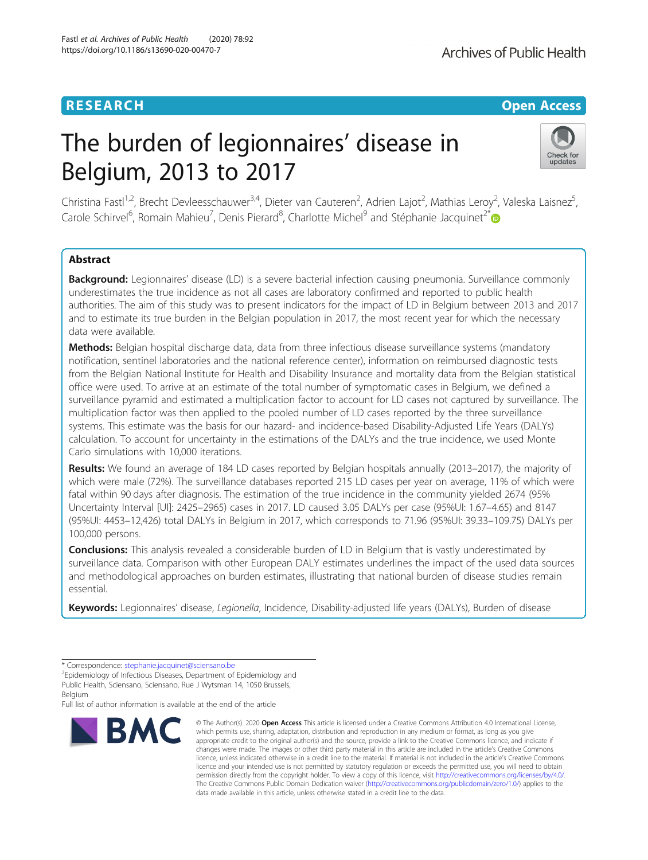# **RESEARCH CHINESE ARCH CHINESE ARCHITECT ARCHITECT ARCHITECT ARCHITECT ARCHITECT ARCHITECT ARCHITECT ARCHITECT ARCHITECT ARCHITECT ARCHITECT ARCHITECT ARCHITECT ARCHITECT ARCHITECT ARCHITECT ARCHITECT ARCHITECT ARCHITE**

# The burden of legionnaires' disease in Belgium, 2013 to 2017



Christina Fastl<sup>1,2</sup>, Brecht Devleesschauwer<sup>3,4</sup>, Dieter van Cauteren<sup>2</sup>, Adrien Lajot<sup>2</sup>, Mathias Leroy<sup>2</sup>, Valeska Laisnez<sup>5</sup> , Carole Schirvel<sup>6</sup>, Romain Mahieu<sup>7</sup>, Denis Pierard<sup>8</sup>, Charlotte Michel<sup>9</sup> and Stéphanie Jacquinet<sup>2[\\*](http://orcid.org/0000-0002-6535-4243)</sup>

# Abstract

Background: Legionnaires' disease (LD) is a severe bacterial infection causing pneumonia. Surveillance commonly underestimates the true incidence as not all cases are laboratory confirmed and reported to public health authorities. The aim of this study was to present indicators for the impact of LD in Belgium between 2013 and 2017 and to estimate its true burden in the Belgian population in 2017, the most recent year for which the necessary data were available.

Methods: Belgian hospital discharge data, data from three infectious disease surveillance systems (mandatory notification, sentinel laboratories and the national reference center), information on reimbursed diagnostic tests from the Belgian National Institute for Health and Disability Insurance and mortality data from the Belgian statistical office were used. To arrive at an estimate of the total number of symptomatic cases in Belgium, we defined a surveillance pyramid and estimated a multiplication factor to account for LD cases not captured by surveillance. The multiplication factor was then applied to the pooled number of LD cases reported by the three surveillance systems. This estimate was the basis for our hazard- and incidence-based Disability-Adjusted Life Years (DALYs) calculation. To account for uncertainty in the estimations of the DALYs and the true incidence, we used Monte Carlo simulations with 10,000 iterations.

Results: We found an average of 184 LD cases reported by Belgian hospitals annually (2013–2017), the majority of which were male (72%). The surveillance databases reported 215 LD cases per year on average, 11% of which were fatal within 90 days after diagnosis. The estimation of the true incidence in the community yielded 2674 (95% Uncertainty Interval [UI]: 2425–2965) cases in 2017. LD caused 3.05 DALYs per case (95%UI: 1.67–4.65) and 8147 (95%UI: 4453–12,426) total DALYs in Belgium in 2017, which corresponds to 71.96 (95%UI: 39.33–109.75) DALYs per 100,000 persons.

**Conclusions:** This analysis revealed a considerable burden of LD in Belgium that is vastly underestimated by surveillance data. Comparison with other European DALY estimates underlines the impact of the used data sources and methodological approaches on burden estimates, illustrating that national burden of disease studies remain essential.

Keywords: Legionnaires' disease, Legionella, Incidence, Disability-adjusted life years (DALYs), Burden of disease

Full list of author information is available at the end of the article



<sup>©</sup> The Author(s), 2020 **Open Access** This article is licensed under a Creative Commons Attribution 4.0 International License, which permits use, sharing, adaptation, distribution and reproduction in any medium or format, as long as you give appropriate credit to the original author(s) and the source, provide a link to the Creative Commons licence, and indicate if changes were made. The images or other third party material in this article are included in the article's Creative Commons licence, unless indicated otherwise in a credit line to the material. If material is not included in the article's Creative Commons licence and your intended use is not permitted by statutory regulation or exceeds the permitted use, you will need to obtain permission directly from the copyright holder. To view a copy of this licence, visit [http://creativecommons.org/licenses/by/4.0/.](http://creativecommons.org/licenses/by/4.0/) The Creative Commons Public Domain Dedication waiver [\(http://creativecommons.org/publicdomain/zero/1.0/](http://creativecommons.org/publicdomain/zero/1.0/)) applies to the data made available in this article, unless otherwise stated in a credit line to the data.

<sup>\*</sup> Correspondence: [stephanie.jacquinet@sciensano.be](mailto:stephanie.jacquinet@sciensano.be) <sup>2</sup>

 $2$ Epidemiology of Infectious Diseases, Department of Epidemiology and Public Health, Sciensano, Sciensano, Rue J Wytsman 14, 1050 Brussels, Belgium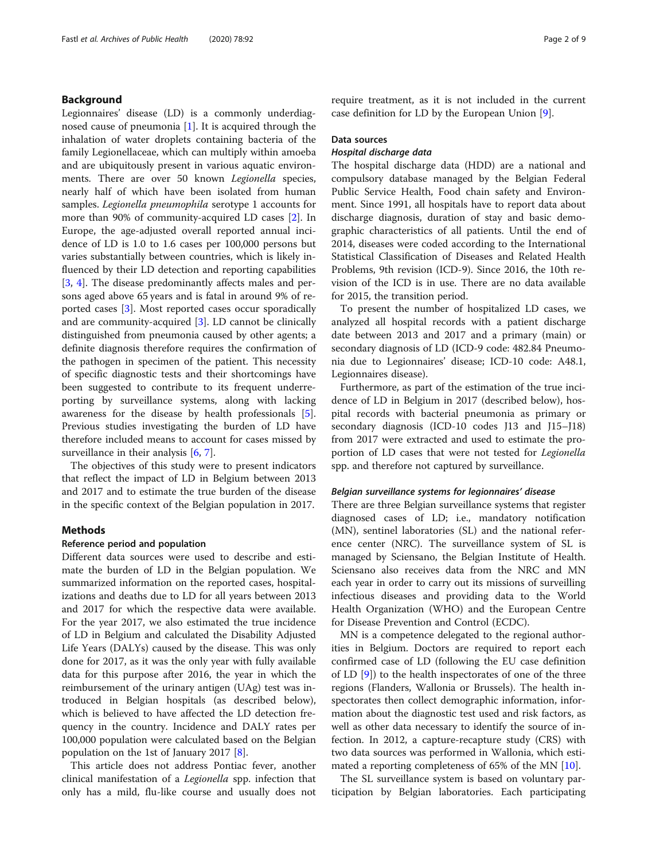# Background

Legionnaires' disease (LD) is a commonly underdiagnosed cause of pneumonia  $[1]$  $[1]$ . It is acquired through the inhalation of water droplets containing bacteria of the family Legionellaceae, which can multiply within amoeba and are ubiquitously present in various aquatic environments. There are over 50 known Legionella species, nearly half of which have been isolated from human samples. Legionella pneumophila serotype 1 accounts for more than 90% of community-acquired LD cases [\[2\]](#page-7-0). In Europe, the age-adjusted overall reported annual incidence of LD is 1.0 to 1.6 cases per 100,000 persons but varies substantially between countries, which is likely influenced by their LD detection and reporting capabilities [[3,](#page-7-0) [4](#page-7-0)]. The disease predominantly affects males and persons aged above 65 years and is fatal in around 9% of reported cases [[3](#page-7-0)]. Most reported cases occur sporadically and are community-acquired [\[3](#page-7-0)]. LD cannot be clinically distinguished from pneumonia caused by other agents; a definite diagnosis therefore requires the confirmation of the pathogen in specimen of the patient. This necessity of specific diagnostic tests and their shortcomings have been suggested to contribute to its frequent underreporting by surveillance systems, along with lacking awareness for the disease by health professionals [\[5](#page-7-0)]. Previous studies investigating the burden of LD have therefore included means to account for cases missed by surveillance in their analysis [[6,](#page-7-0) [7\]](#page-7-0).

The objectives of this study were to present indicators that reflect the impact of LD in Belgium between 2013 and 2017 and to estimate the true burden of the disease in the specific context of the Belgian population in 2017.

# Methods

# Reference period and population

Different data sources were used to describe and estimate the burden of LD in the Belgian population. We summarized information on the reported cases, hospitalizations and deaths due to LD for all years between 2013 and 2017 for which the respective data were available. For the year 2017, we also estimated the true incidence of LD in Belgium and calculated the Disability Adjusted Life Years (DALYs) caused by the disease. This was only done for 2017, as it was the only year with fully available data for this purpose after 2016, the year in which the reimbursement of the urinary antigen (UAg) test was introduced in Belgian hospitals (as described below), which is believed to have affected the LD detection frequency in the country. Incidence and DALY rates per 100,000 population were calculated based on the Belgian population on the 1st of January 2017 [\[8\]](#page-7-0).

This article does not address Pontiac fever, another clinical manifestation of a Legionella spp. infection that only has a mild, flu-like course and usually does not require treatment, as it is not included in the current case definition for LD by the European Union [\[9](#page-7-0)].

# Data sources

# Hospital discharge data

The hospital discharge data (HDD) are a national and compulsory database managed by the Belgian Federal Public Service Health, Food chain safety and Environment. Since 1991, all hospitals have to report data about discharge diagnosis, duration of stay and basic demographic characteristics of all patients. Until the end of 2014, diseases were coded according to the International Statistical Classification of Diseases and Related Health Problems, 9th revision (ICD-9). Since 2016, the 10th revision of the ICD is in use. There are no data available for 2015, the transition period.

To present the number of hospitalized LD cases, we analyzed all hospital records with a patient discharge date between 2013 and 2017 and a primary (main) or secondary diagnosis of LD (ICD-9 code: 482.84 Pneumonia due to Legionnaires' disease; ICD-10 code: A48.1, Legionnaires disease).

Furthermore, as part of the estimation of the true incidence of LD in Belgium in 2017 (described below), hospital records with bacterial pneumonia as primary or secondary diagnosis (ICD-10 codes J13 and J15–J18) from 2017 were extracted and used to estimate the proportion of LD cases that were not tested for Legionella spp. and therefore not captured by surveillance.

# Belgian surveillance systems for legionnaires' disease

There are three Belgian surveillance systems that register diagnosed cases of LD; i.e., mandatory notification (MN), sentinel laboratories (SL) and the national reference center (NRC). The surveillance system of SL is managed by Sciensano, the Belgian Institute of Health. Sciensano also receives data from the NRC and MN each year in order to carry out its missions of surveilling infectious diseases and providing data to the World Health Organization (WHO) and the European Centre for Disease Prevention and Control (ECDC).

MN is a competence delegated to the regional authorities in Belgium. Doctors are required to report each confirmed case of LD (following the EU case definition of LD [[9\]](#page-7-0)) to the health inspectorates of one of the three regions (Flanders, Wallonia or Brussels). The health inspectorates then collect demographic information, information about the diagnostic test used and risk factors, as well as other data necessary to identify the source of infection. In 2012, a capture-recapture study (CRS) with two data sources was performed in Wallonia, which estimated a reporting completeness of 65% of the MN [[10\]](#page-7-0).

The SL surveillance system is based on voluntary participation by Belgian laboratories. Each participating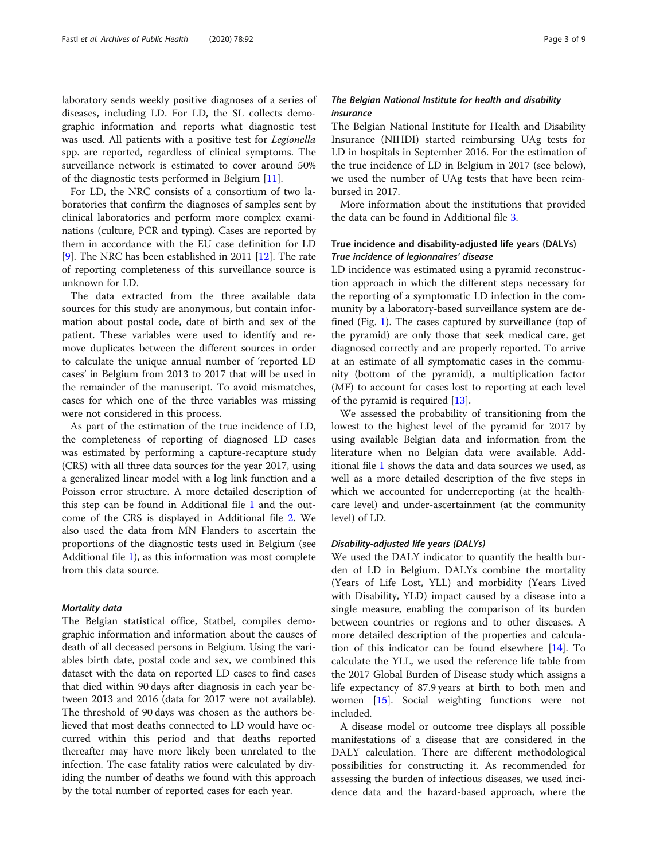laboratory sends weekly positive diagnoses of a series of diseases, including LD. For LD, the SL collects demographic information and reports what diagnostic test was used. All patients with a positive test for Legionella spp. are reported, regardless of clinical symptoms. The surveillance network is estimated to cover around 50% of the diagnostic tests performed in Belgium [\[11](#page-7-0)].

For LD, the NRC consists of a consortium of two laboratories that confirm the diagnoses of samples sent by clinical laboratories and perform more complex examinations (culture, PCR and typing). Cases are reported by them in accordance with the EU case definition for LD [[9\]](#page-7-0). The NRC has been established in 2011 [[12\]](#page-7-0). The rate of reporting completeness of this surveillance source is unknown for LD.

The data extracted from the three available data sources for this study are anonymous, but contain information about postal code, date of birth and sex of the patient. These variables were used to identify and remove duplicates between the different sources in order to calculate the unique annual number of 'reported LD cases' in Belgium from 2013 to 2017 that will be used in the remainder of the manuscript. To avoid mismatches, cases for which one of the three variables was missing were not considered in this process.

As part of the estimation of the true incidence of LD, the completeness of reporting of diagnosed LD cases was estimated by performing a capture-recapture study (CRS) with all three data sources for the year 2017, using a generalized linear model with a log link function and a Poisson error structure. A more detailed description of this step can be found in Additional file [1](#page-6-0) and the outcome of the CRS is displayed in Additional file [2.](#page-7-0) We also used the data from MN Flanders to ascertain the proportions of the diagnostic tests used in Belgium (see Additional file [1](#page-6-0)), as this information was most complete from this data source.

# Mortality data

The Belgian statistical office, Statbel, compiles demographic information and information about the causes of death of all deceased persons in Belgium. Using the variables birth date, postal code and sex, we combined this dataset with the data on reported LD cases to find cases that died within 90 days after diagnosis in each year between 2013 and 2016 (data for 2017 were not available). The threshold of 90 days was chosen as the authors believed that most deaths connected to LD would have occurred within this period and that deaths reported thereafter may have more likely been unrelated to the infection. The case fatality ratios were calculated by dividing the number of deaths we found with this approach by the total number of reported cases for each year.

# The Belgian National Institute for health and disability insurance

The Belgian National Institute for Health and Disability Insurance (NIHDI) started reimbursing UAg tests for LD in hospitals in September 2016. For the estimation of the true incidence of LD in Belgium in 2017 (see below), we used the number of UAg tests that have been reimbursed in 2017.

More information about the institutions that provided the data can be found in Additional file [3](#page-7-0).

# True incidence and disability-adjusted life years (DALYs) True incidence of legionnaires' disease

LD incidence was estimated using a pyramid reconstruction approach in which the different steps necessary for the reporting of a symptomatic LD infection in the community by a laboratory-based surveillance system are defined (Fig. [1\)](#page-3-0). The cases captured by surveillance (top of the pyramid) are only those that seek medical care, get diagnosed correctly and are properly reported. To arrive at an estimate of all symptomatic cases in the community (bottom of the pyramid), a multiplication factor (MF) to account for cases lost to reporting at each level of the pyramid is required [[13\]](#page-7-0).

We assessed the probability of transitioning from the lowest to the highest level of the pyramid for 2017 by using available Belgian data and information from the literature when no Belgian data were available. Additional file [1](#page-6-0) shows the data and data sources we used, as well as a more detailed description of the five steps in which we accounted for underreporting (at the healthcare level) and under-ascertainment (at the community level) of LD.

# Disability-adjusted life years (DALYs)

We used the DALY indicator to quantify the health burden of LD in Belgium. DALYs combine the mortality (Years of Life Lost, YLL) and morbidity (Years Lived with Disability, YLD) impact caused by a disease into a single measure, enabling the comparison of its burden between countries or regions and to other diseases. A more detailed description of the properties and calculation of this indicator can be found elsewhere [\[14](#page-7-0)]. To calculate the YLL, we used the reference life table from the 2017 Global Burden of Disease study which assigns a life expectancy of 87.9 years at birth to both men and women [\[15](#page-7-0)]. Social weighting functions were not included.

A disease model or outcome tree displays all possible manifestations of a disease that are considered in the DALY calculation. There are different methodological possibilities for constructing it. As recommended for assessing the burden of infectious diseases, we used incidence data and the hazard-based approach, where the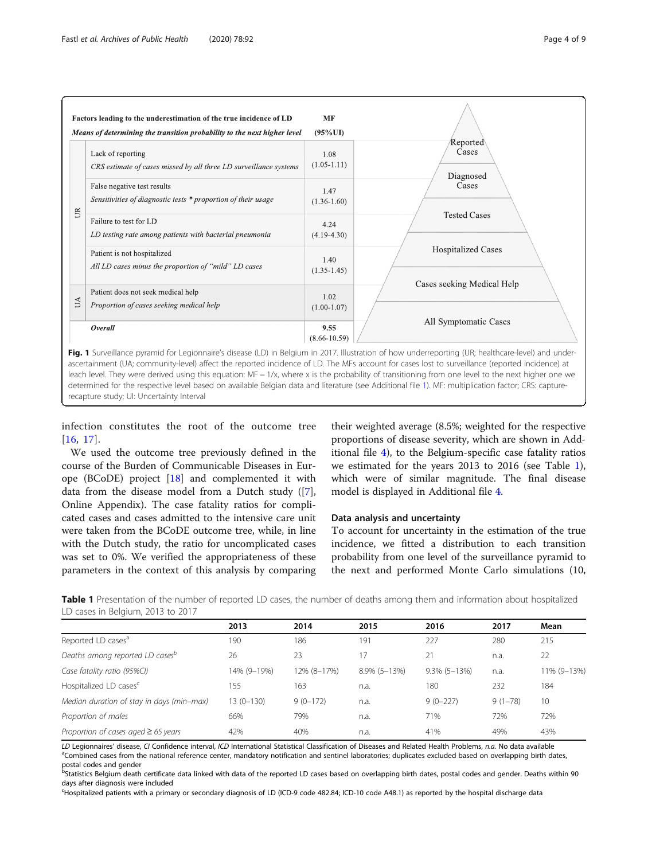<span id="page-3-0"></span>

leach level. They were derived using this equation: MF = 1/x, where x is the probability of transitioning from one level to the next higher one we determined for the respective level based on available Belgian data and literature (see Additional file [1](#page-6-0)). MF: multiplication factor; CRS: capturerecapture study; UI: Uncertainty Interval

infection constitutes the root of the outcome tree [[16](#page-7-0), [17\]](#page-7-0).

We used the outcome tree previously defined in the course of the Burden of Communicable Diseases in Europe (BCoDE) project [\[18\]](#page-7-0) and complemented it with data from the disease model from a Dutch study ([\[7](#page-7-0)], Online Appendix). The case fatality ratios for complicated cases and cases admitted to the intensive care unit were taken from the BCoDE outcome tree, while, in line with the Dutch study, the ratio for uncomplicated cases was set to 0%. We verified the appropriateness of these parameters in the context of this analysis by comparing

their weighted average (8.5%; weighted for the respective proportions of disease severity, which are shown in Additional file [4](#page-7-0)), to the Belgium-specific case fatality ratios we estimated for the years 2013 to 2016 (see Table 1), which were of similar magnitude. The final disease model is displayed in Additional file [4](#page-7-0).

# Data analysis and uncertainty

To account for uncertainty in the estimation of the true incidence, we fitted a distribution to each transition probability from one level of the surveillance pyramid to the next and performed Monte Carlo simulations (10,

Table 1 Presentation of the number of reported LD cases, the number of deaths among them and information about hospitalized LD cases in Belgium, 2013 to 2017

|                                             | 2013        | 2014        | 2015            | 2016            | 2017        | Mean        |
|---------------------------------------------|-------------|-------------|-----------------|-----------------|-------------|-------------|
| Reported LD cases <sup>a</sup>              | 190         | 186         | 191             | 227             | 280         | 215         |
| Deaths among reported LD cases <sup>b</sup> | 26          | 23          | 17              | 21              | n.a.        | 22          |
| Case fatality ratio (95%CI)                 | 14% (9–19%) | 12% (8-17%) | $8.9\%$ (5-13%) | $9.3\%$ (5-13%) | n.a.        | 11% (9-13%) |
| Hospitalized LD cases <sup>c</sup>          | 155         | 163         | n.a.            | 180             | 232         | 184         |
| Median duration of stay in days (min-max)   | 13 (0-130)  | $9(0-172)$  | n.a.            | $9(0-227)$      | $9(1 - 78)$ | 10          |
| Proportion of males                         | 66%         | 79%         | n.a.            | 71%             | 72%         | 72%         |
| Proportion of cases aged $\geq 65$ years    | 42%         | 40%         | n.a.            | 41%             | 49%         | 43%         |

LD Legionnaires' disease, CI Confidence interval, ICD International Statistical Classification of Diseases and Related Health Problems, n.a. No data available

<sup>a</sup>Combined cases from the national reference center, mandatory notification and sentinel laboratories; duplicates excluded based on overlapping birth dates,

postal codes and gender<br><sup>b</sup>Statistics Belgium death certificate data linked with data of the reported LD cases based on overlapping birth dates, postal codes and gender. Deaths within 90 days after diagnosis were included

c Hospitalized patients with a primary or secondary diagnosis of LD (ICD-9 code 482.84; ICD-10 code A48.1) as reported by the hospital discharge data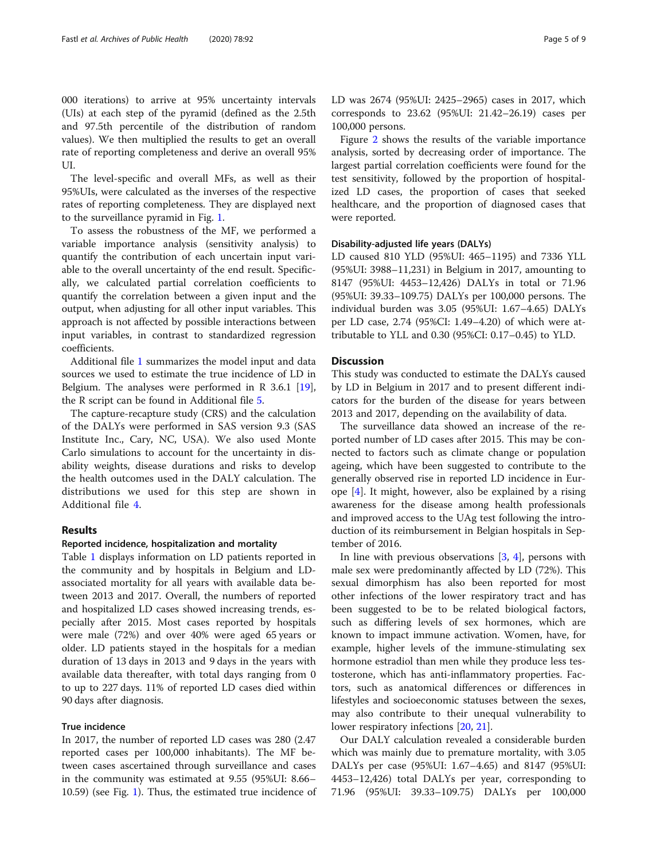000 iterations) to arrive at 95% uncertainty intervals (UIs) at each step of the pyramid (defined as the 2.5th and 97.5th percentile of the distribution of random values). We then multiplied the results to get an overall rate of reporting completeness and derive an overall 95% UI.

The level-specific and overall MFs, as well as their 95%UIs, were calculated as the inverses of the respective rates of reporting completeness. They are displayed next to the surveillance pyramid in Fig. [1](#page-3-0).

To assess the robustness of the MF, we performed a variable importance analysis (sensitivity analysis) to quantify the contribution of each uncertain input variable to the overall uncertainty of the end result. Specifically, we calculated partial correlation coefficients to quantify the correlation between a given input and the output, when adjusting for all other input variables. This approach is not affected by possible interactions between input variables, in contrast to standardized regression coefficients.

Additional file [1](#page-6-0) summarizes the model input and data sources we used to estimate the true incidence of LD in Belgium. The analyses were performed in R 3.6.1 [\[19](#page-7-0)], the R script can be found in Additional file [5.](#page-7-0)

The capture-recapture study (CRS) and the calculation of the DALYs were performed in SAS version 9.3 (SAS Institute Inc., Cary, NC, USA). We also used Monte Carlo simulations to account for the uncertainty in disability weights, disease durations and risks to develop the health outcomes used in the DALY calculation. The distributions we used for this step are shown in Additional file [4.](#page-7-0)

# Results

# Reported incidence, hospitalization and mortality

Table [1](#page-3-0) displays information on LD patients reported in the community and by hospitals in Belgium and LDassociated mortality for all years with available data between 2013 and 2017. Overall, the numbers of reported and hospitalized LD cases showed increasing trends, especially after 2015. Most cases reported by hospitals were male (72%) and over 40% were aged 65 years or older. LD patients stayed in the hospitals for a median duration of 13 days in 2013 and 9 days in the years with available data thereafter, with total days ranging from 0 to up to 227 days. 11% of reported LD cases died within 90 days after diagnosis.

# True incidence

In 2017, the number of reported LD cases was 280 (2.47 reported cases per 100,000 inhabitants). The MF between cases ascertained through surveillance and cases in the community was estimated at 9.55 (95%UI: 8.66– 10.59) (see Fig. [1\)](#page-3-0). Thus, the estimated true incidence of LD was 2674 (95%UI: 2425–2965) cases in 2017, which corresponds to 23.62 (95%UI: 21.42–26.19) cases per 100,000 persons.

Figure [2](#page-5-0) shows the results of the variable importance analysis, sorted by decreasing order of importance. The largest partial correlation coefficients were found for the test sensitivity, followed by the proportion of hospitalized LD cases, the proportion of cases that seeked healthcare, and the proportion of diagnosed cases that were reported.

# Disability-adjusted life years (DALYs)

LD caused 810 YLD (95%UI: 465–1195) and 7336 YLL (95%UI: 3988–11,231) in Belgium in 2017, amounting to 8147 (95%UI: 4453–12,426) DALYs in total or 71.96 (95%UI: 39.33–109.75) DALYs per 100,000 persons. The individual burden was 3.05 (95%UI: 1.67–4.65) DALYs per LD case, 2.74 (95%CI: 1.49–4.20) of which were attributable to YLL and 0.30 (95%CI: 0.17–0.45) to YLD.

# **Discussion**

This study was conducted to estimate the DALYs caused by LD in Belgium in 2017 and to present different indicators for the burden of the disease for years between 2013 and 2017, depending on the availability of data.

The surveillance data showed an increase of the reported number of LD cases after 2015. This may be connected to factors such as climate change or population ageing, which have been suggested to contribute to the generally observed rise in reported LD incidence in Europe [\[4](#page-7-0)]. It might, however, also be explained by a rising awareness for the disease among health professionals and improved access to the UAg test following the introduction of its reimbursement in Belgian hospitals in September of 2016.

In line with previous observations [\[3](#page-7-0), [4\]](#page-7-0), persons with male sex were predominantly affected by LD (72%). This sexual dimorphism has also been reported for most other infections of the lower respiratory tract and has been suggested to be to be related biological factors, such as differing levels of sex hormones, which are known to impact immune activation. Women, have, for example, higher levels of the immune-stimulating sex hormone estradiol than men while they produce less testosterone, which has anti-inflammatory properties. Factors, such as anatomical differences or differences in lifestyles and socioeconomic statuses between the sexes, may also contribute to their unequal vulnerability to lower respiratory infections [\[20,](#page-7-0) [21\]](#page-7-0).

Our DALY calculation revealed a considerable burden which was mainly due to premature mortality, with 3.05 DALYs per case (95%UI: 1.67–4.65) and 8147 (95%UI: 4453–12,426) total DALYs per year, corresponding to 71.96 (95%UI: 39.33–109.75) DALYs per 100,000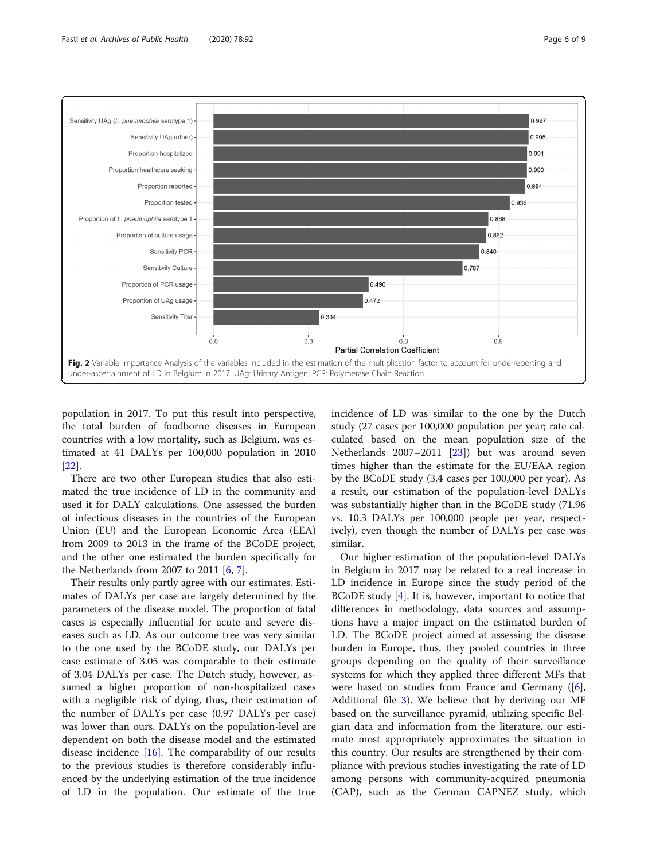<span id="page-5-0"></span>

population in 2017. To put this result into perspective, the total burden of foodborne diseases in European countries with a low mortality, such as Belgium, was estimated at 41 DALYs per 100,000 population in 2010 [[22\]](#page-8-0).

There are two other European studies that also estimated the true incidence of LD in the community and used it for DALY calculations. One assessed the burden of infectious diseases in the countries of the European Union (EU) and the European Economic Area (EEA) from 2009 to 2013 in the frame of the BCoDE project, and the other one estimated the burden specifically for the Netherlands from 2007 to 2011 [[6](#page-7-0), [7](#page-7-0)].

Their results only partly agree with our estimates. Estimates of DALYs per case are largely determined by the parameters of the disease model. The proportion of fatal cases is especially influential for acute and severe diseases such as LD. As our outcome tree was very similar to the one used by the BCoDE study, our DALYs per case estimate of 3.05 was comparable to their estimate of 3.04 DALYs per case. The Dutch study, however, assumed a higher proportion of non-hospitalized cases with a negligible risk of dying, thus, their estimation of the number of DALYs per case (0.97 DALYs per case) was lower than ours. DALYs on the population-level are dependent on both the disease model and the estimated disease incidence [[16\]](#page-7-0). The comparability of our results to the previous studies is therefore considerably influenced by the underlying estimation of the true incidence of LD in the population. Our estimate of the true incidence of LD was similar to the one by the Dutch study (27 cases per 100,000 population per year; rate calculated based on the mean population size of the Netherlands 2007–2011 [[23\]](#page-8-0)) but was around seven times higher than the estimate for the EU/EAA region by the BCoDE study (3.4 cases per 100,000 per year). As a result, our estimation of the population-level DALYs was substantially higher than in the BCoDE study (71.96 vs. 10.3 DALYs per 100,000 people per year, respectively), even though the number of DALYs per case was similar.

Our higher estimation of the population-level DALYs in Belgium in 2017 may be related to a real increase in LD incidence in Europe since the study period of the BCoDE study  $[4]$  $[4]$ . It is, however, important to notice that differences in methodology, data sources and assumptions have a major impact on the estimated burden of LD. The BCoDE project aimed at assessing the disease burden in Europe, thus, they pooled countries in three groups depending on the quality of their surveillance systems for which they applied three different MFs that were based on studies from France and Germany ([\[6](#page-7-0)], Additional file [3\)](#page-7-0). We believe that by deriving our MF based on the surveillance pyramid, utilizing specific Belgian data and information from the literature, our estimate most appropriately approximates the situation in this country. Our results are strengthened by their compliance with previous studies investigating the rate of LD among persons with community-acquired pneumonia (CAP), such as the German CAPNEZ study, which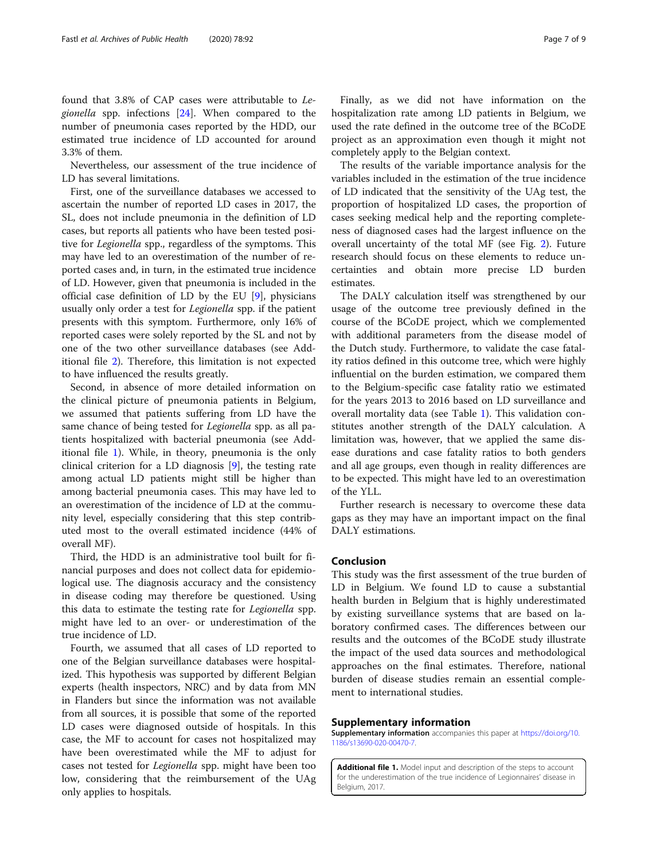<span id="page-6-0"></span>Nevertheless, our assessment of the true incidence of LD has several limitations.

First, one of the surveillance databases we accessed to ascertain the number of reported LD cases in 2017, the SL, does not include pneumonia in the definition of LD cases, but reports all patients who have been tested positive for Legionella spp., regardless of the symptoms. This may have led to an overestimation of the number of reported cases and, in turn, in the estimated true incidence of LD. However, given that pneumonia is included in the official case definition of LD by the EU [\[9](#page-7-0)], physicians usually only order a test for *Legionella* spp. if the patient presents with this symptom. Furthermore, only 16% of reported cases were solely reported by the SL and not by one of the two other surveillance databases (see Additional file [2\)](#page-7-0). Therefore, this limitation is not expected to have influenced the results greatly.

Second, in absence of more detailed information on the clinical picture of pneumonia patients in Belgium, we assumed that patients suffering from LD have the same chance of being tested for Legionella spp. as all patients hospitalized with bacterial pneumonia (see Additional file 1). While, in theory, pneumonia is the only clinical criterion for a LD diagnosis [\[9\]](#page-7-0), the testing rate among actual LD patients might still be higher than among bacterial pneumonia cases. This may have led to an overestimation of the incidence of LD at the community level, especially considering that this step contributed most to the overall estimated incidence (44% of overall MF).

Third, the HDD is an administrative tool built for financial purposes and does not collect data for epidemiological use. The diagnosis accuracy and the consistency in disease coding may therefore be questioned. Using this data to estimate the testing rate for Legionella spp. might have led to an over- or underestimation of the true incidence of LD.

Fourth, we assumed that all cases of LD reported to one of the Belgian surveillance databases were hospitalized. This hypothesis was supported by different Belgian experts (health inspectors, NRC) and by data from MN in Flanders but since the information was not available from all sources, it is possible that some of the reported LD cases were diagnosed outside of hospitals. In this case, the MF to account for cases not hospitalized may have been overestimated while the MF to adjust for cases not tested for Legionella spp. might have been too low, considering that the reimbursement of the UAg only applies to hospitals.

Finally, as we did not have information on the hospitalization rate among LD patients in Belgium, we used the rate defined in the outcome tree of the BCoDE project as an approximation even though it might not completely apply to the Belgian context.

The results of the variable importance analysis for the variables included in the estimation of the true incidence of LD indicated that the sensitivity of the UAg test, the proportion of hospitalized LD cases, the proportion of cases seeking medical help and the reporting completeness of diagnosed cases had the largest influence on the overall uncertainty of the total MF (see Fig. [2\)](#page-5-0). Future research should focus on these elements to reduce uncertainties and obtain more precise LD burden estimates.

The DALY calculation itself was strengthened by our usage of the outcome tree previously defined in the course of the BCoDE project, which we complemented with additional parameters from the disease model of the Dutch study. Furthermore, to validate the case fatality ratios defined in this outcome tree, which were highly influential on the burden estimation, we compared them to the Belgium-specific case fatality ratio we estimated for the years 2013 to 2016 based on LD surveillance and overall mortality data (see Table [1\)](#page-3-0). This validation constitutes another strength of the DALY calculation. A limitation was, however, that we applied the same disease durations and case fatality ratios to both genders and all age groups, even though in reality differences are to be expected. This might have led to an overestimation of the YLL.

Further research is necessary to overcome these data gaps as they may have an important impact on the final DALY estimations.

# Conclusion

This study was the first assessment of the true burden of LD in Belgium. We found LD to cause a substantial health burden in Belgium that is highly underestimated by existing surveillance systems that are based on laboratory confirmed cases. The differences between our results and the outcomes of the BCoDE study illustrate the impact of the used data sources and methodological approaches on the final estimates. Therefore, national burden of disease studies remain an essential complement to international studies.

# Supplementary information

Supplementary information accompanies this paper at [https://doi.org/10.](https://doi.org/10.1186/s13690-020-00470-7) [1186/s13690-020-00470-7](https://doi.org/10.1186/s13690-020-00470-7).

Additional file 1. Model input and description of the steps to account for the underestimation of the true incidence of Legionnaires' disease in Belgium, 2017.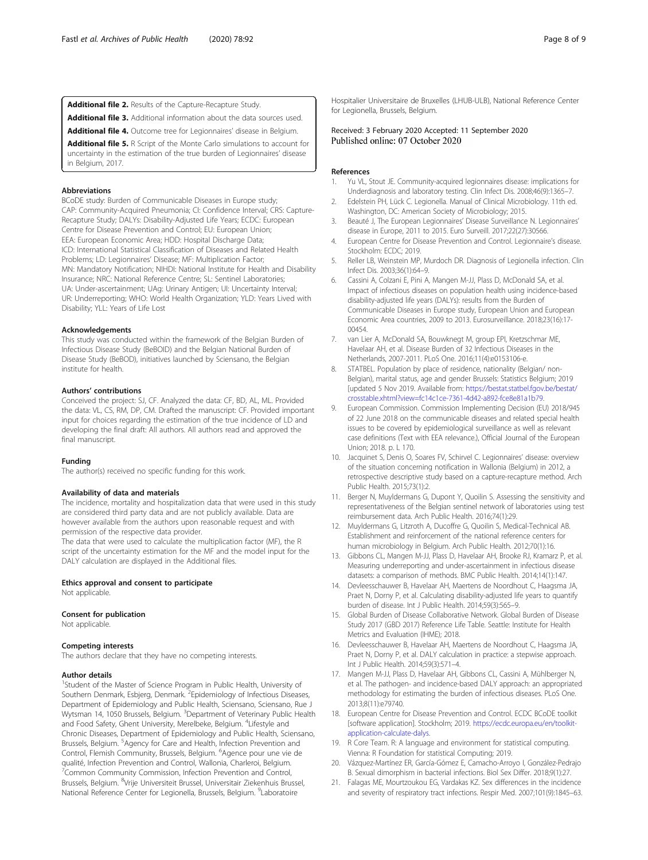<span id="page-7-0"></span>Additional file 2. Results of the Capture-Recapture Study.

Additional file 3. Additional information about the data sources used.

Additional file 4. Outcome tree for Legionnaires' disease in Belgium.

Additional file 5. R Script of the Monte Carlo simulations to account for uncertainty in the estimation of the true burden of Legionnaires' disease in Belgium, 2017.

#### **Abbreviations**

BCoDE study: Burden of Communicable Diseases in Europe study; CAP: Community-Acquired Pneumonia; CI: Confidence Interval; CRS: Capture-Recapture Study; DALYs: Disability-Adjusted Life Years; ECDC: European Centre for Disease Prevention and Control; EU: European Union; EEA: European Economic Area; HDD: Hospital Discharge Data; ICD: International Statistical Classification of Diseases and Related Health Problems; LD: Legionnaires' Disease; MF: Multiplication Factor; MN: Mandatory Notification; NIHDI: National Institute for Health and Disability Insurance; NRC: National Reference Centre; SL: Sentinel Laboratories; UA: Under-ascertainment; UAg: Urinary Antigen; UI: Uncertainty Interval; UR: Underreporting; WHO: World Health Organization; YLD: Years Lived with Disability; YLL: Years of Life Lost

#### Acknowledgements

This study was conducted within the framework of the Belgian Burden of Infectious Disease Study (BeBOID) and the Belgian National Burden of Disease Study (BeBOD), initiatives launched by Sciensano, the Belgian institute for health.

# Authors' contributions

Conceived the project: SJ, CF. Analyzed the data: CF, BD, AL, ML. Provided the data: VL, CS, RM, DP, CM. Drafted the manuscript: CF. Provided important input for choices regarding the estimation of the true incidence of LD and developing the final draft: All authors. All authors read and approved the final manuscript.

#### Funding

The author(s) received no specific funding for this work.

#### Availability of data and materials

The incidence, mortality and hospitalization data that were used in this study are considered third party data and are not publicly available. Data are however available from the authors upon reasonable request and with permission of the respective data provider.

The data that were used to calculate the multiplication factor (MF), the R script of the uncertainty estimation for the MF and the model input for the DALY calculation are displayed in the Additional files.

## Ethics approval and consent to participate

Not applicable.

#### Consent for publication

Not applicable.

#### Competing interests

The authors declare that they have no competing interests.

#### Author details

<sup>1</sup>Student of the Master of Science Program in Public Health, University of Southern Denmark, Esbjerg, Denmark. <sup>2</sup>Epidemiology of Infectious Diseases, Department of Epidemiology and Public Health, Sciensano, Sciensano, Rue J Wytsman 14, 1050 Brussels, Belgium. <sup>3</sup>Department of Veterinary Public Health and Food Safety, Ghent University, Merelbeke, Belgium. <sup>4</sup>Lifestyle and Chronic Diseases, Department of Epidemiology and Public Health, Sciensano, Brussels, Belgium. <sup>5</sup>Agency for Care and Health, Infection Prevention and Control, Flemish Community, Brussels, Belgium. <sup>6</sup>Agence pour une vie de qualité, Infection Prevention and Control, Wallonia, Charleroi, Belgium. <sup>7</sup> Common Community Commission, Infection Prevention and Control, Brussels, Belgium. <sup>8</sup>Vrije Universiteit Brussel, Universitair Ziekenhuis Brussel, National Reference Center for Legionella, Brussels, Belgium. <sup>9</sup>Laboratoire

Hospitalier Universitaire de Bruxelles (LHUB-ULB), National Reference Center for Legionella, Brussels, Belgium.

# Received: 3 February 2020 Accepted: 11 September 2020 Published online: 07 October 2020

## References

- 1. Yu VL, Stout JE. Community-acquired legionnaires disease: implications for Underdiagnosis and laboratory testing. Clin Infect Dis. 2008;46(9):1365–7.
- 2. Edelstein PH, Lück C. Legionella. Manual of Clinical Microbiology. 11th ed. Washington, DC: American Society of Microbiology; 2015.
- 3. Beauté J, The European Legionnaires' Disease Surveillance N. Legionnaires' disease in Europe, 2011 to 2015. Euro Surveill. 2017;22(27):30566.
- 4. European Centre for Disease Prevention and Control. Legionnaire's disease. Stockholm: ECDC; 2019.
- 5. Reller LB, Weinstein MP, Murdoch DR. Diagnosis of Legionella infection. Clin Infect Dis. 2003;36(1):64–9.
- 6. Cassini A, Colzani E, Pini A, Mangen M-JJ, Plass D, McDonald SA, et al. Impact of infectious diseases on population health using incidence-based disability-adjusted life years (DALYs): results from the Burden of Communicable Diseases in Europe study, European Union and European Economic Area countries, 2009 to 2013. Eurosurveillance. 2018;23(16):17- 00454.
- 7. van Lier A, McDonald SA, Bouwknegt M, group EPI, Kretzschmar ME, Havelaar AH, et al. Disease Burden of 32 Infectious Diseases in the Netherlands, 2007-2011. PLoS One. 2016;11(4):e0153106-e.
- 8. STATBEL. Population by place of residence, nationality (Belgian/ non-Belgian), marital status, age and gender Brussels: Statistics Belgium; 2019 [updated 5 Nov 2019. Available from: [https://bestat.statbel.fgov.be/bestat/](https://bestat.statbel.fgov.be/bestat/crosstable.xhtml?view=fc14c1ce-7361-4d42-a892-fce8e81a1b79) [crosstable.xhtml?view=fc14c1ce-7361-4d42-a892-fce8e81a1b79](https://bestat.statbel.fgov.be/bestat/crosstable.xhtml?view=fc14c1ce-7361-4d42-a892-fce8e81a1b79).
- 9. European Commission. Commission Implementing Decision (EU) 2018/945 of 22 June 2018 on the communicable diseases and related special health issues to be covered by epidemiological surveillance as well as relevant case definitions (Text with EEA relevance.), Official Journal of the European Union; 2018. p. L 170.
- 10. Jacquinet S, Denis O, Soares FV, Schirvel C. Legionnaires' disease: overview of the situation concerning notification in Wallonia (Belgium) in 2012, a retrospective descriptive study based on a capture-recapture method. Arch Public Health. 2015;73(1):2.
- 11. Berger N, Muyldermans G, Dupont Y, Quoilin S. Assessing the sensitivity and representativeness of the Belgian sentinel network of laboratories using test reimbursement data. Arch Public Health. 2016;74(1):29.
- 12. Muyldermans G, Litzroth A, Ducoffre G, Quoilin S, Medical-Technical AB. Establishment and reinforcement of the national reference centers for human microbiology in Belgium. Arch Public Health. 2012;70(1):16.
- 13. Gibbons CL, Mangen M-JJ, Plass D, Havelaar AH, Brooke RJ, Kramarz P, et al. Measuring underreporting and under-ascertainment in infectious disease datasets: a comparison of methods. BMC Public Health. 2014;14(1):147.
- 14. Devleesschauwer B, Havelaar AH, Maertens de Noordhout C, Haagsma JA, Praet N, Dorny P, et al. Calculating disability-adjusted life years to quantify burden of disease. Int J Public Health. 2014;59(3):565–9.
- 15. Global Burden of Disease Collaborative Network. Global Burden of Disease Study 2017 (GBD 2017) Reference Life Table. Seattle: Institute for Health Metrics and Evaluation (IHME); 2018.
- 16. Devleesschauwer B, Havelaar AH, Maertens de Noordhout C, Haagsma JA, Praet N, Dorny P, et al. DALY calculation in practice: a stepwise approach. Int J Public Health. 2014;59(3):571–4.
- 17. Mangen M-JJ, Plass D, Havelaar AH, Gibbons CL, Cassini A, Mühlberger N, et al. The pathogen- and incidence-based DALY approach: an appropriated methodology for estimating the burden of infectious diseases. PLoS One. 2013;8(11):e79740.
- 18. European Centre for Disease Prevention and Control. ECDC BCoDE toolkit [software application]. Stockholm; 2019. [https://ecdc.europa.eu/en/toolkit](https://ecdc.europa.eu/en/toolkit-application-calculate-dalys)[application-calculate-dalys](https://ecdc.europa.eu/en/toolkit-application-calculate-dalys).
- 19. R Core Team. R: A language and environment for statistical computing. Vienna: R Foundation for statistical Computing; 2019.
- 20. Vázquez-Martínez ER, García-Gómez E, Camacho-Arroyo I, González-Pedrajo B. Sexual dimorphism in bacterial infections. Biol Sex Differ. 2018;9(1):27.
- 21. Falagas ME, Mourtzoukou EG, Vardakas KZ. Sex differences in the incidence and severity of respiratory tract infections. Respir Med. 2007;101(9):1845–63.